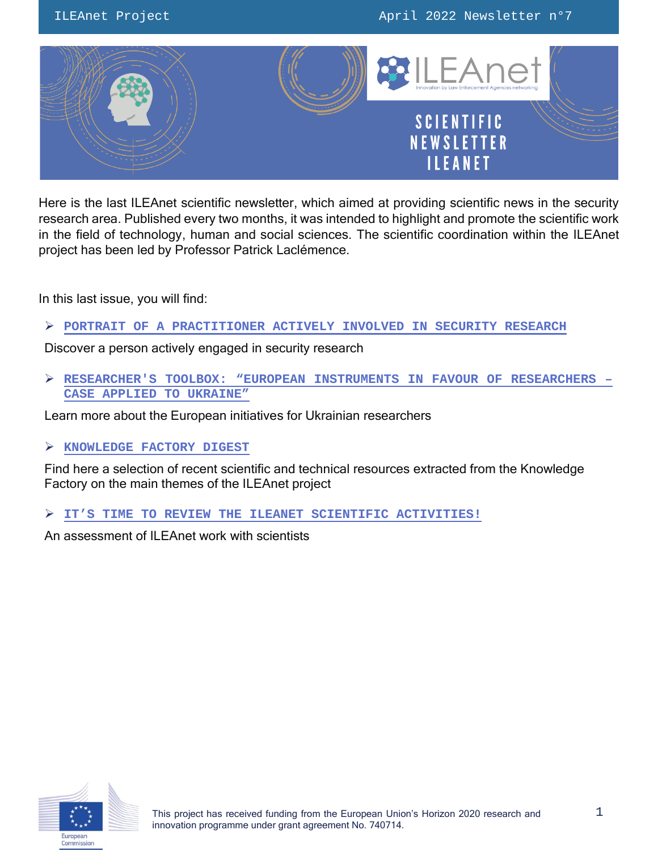

Here is the last ILEAnet scientific newsletter, which aimed at providing scientific news in the security research area. Published every two months, it was intended to highlight and promote the scientific work in the field of technology, human and social sciences. The scientific coordination within the ILEAnet project has been led by Professor Patrick Laclémence.

In this last issue, you will find:

**PORTRAIT OF A PRACTITIONER [ACTIVELY INVOLVED IN SECURITY](#page-1-0) RESEARCH**

Discover a person actively engaged in security research

 **RESEARCHER'S TOOLBOX: "EUROPEAN INSTRUMENTS [IN FAVOUR OF RESEARCHERS](#page-4-0) – [CASE APPLIED TO UKRAINE](#page-4-0)"**

Learn more about the European initiatives for Ukrainian researchers

## **[KNOWLEDGE FACTORY DIGEST](#page-6-0)**

Find here a selection of recent scientific and technical resources extracted from the Knowledge Factory on the main themes of the ILEAnet project

**IT'S TIME TO REVIEW [THE ILEANET SCIENTIFIC ACTIVITIES!](#page-10-0)**

An assessment of ILEAnet work with scientists

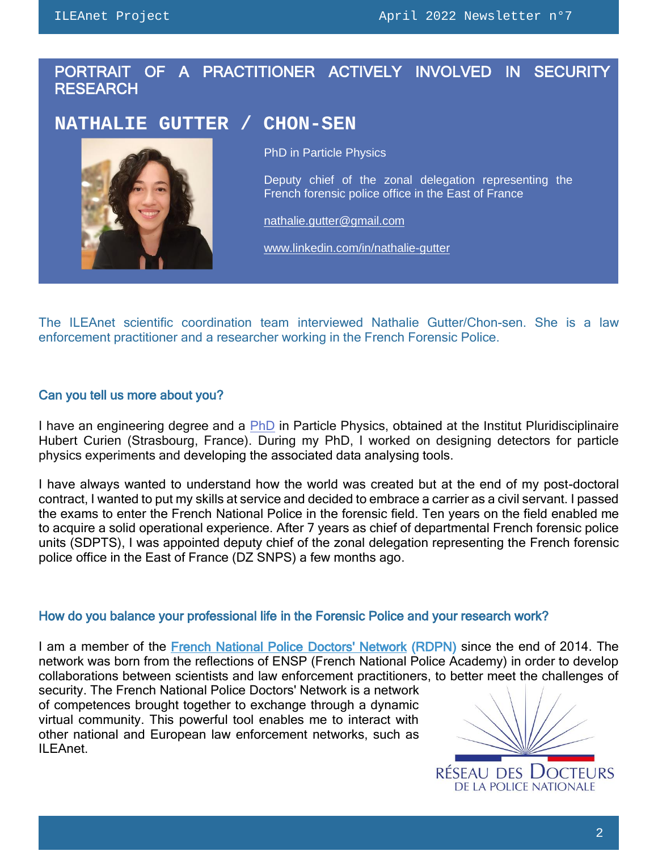# <span id="page-1-0"></span>PORTRAIT OF A PRACTITIONER ACTIVELY INVOLVED IN SECURITY RESEARCH

# **NATHALIE GUTTER / CHON-SEN**



PhD in Particle Physics

Deputy chief of the zonal delegation representing the French forensic police office in the East of France

[nathalie.gutter@gmail.com](mailto:nathalie.gutter@gmail.com) 

[www.linkedin.com/in/nathalie-gutter](http://www.linkedin.com/in/nathalie-gutter)

The ILEAnet scientific coordination team interviewed Nathalie Gutter/Chon-sen. She is a law enforcement practitioner and a researcher working in the French Forensic Police.

### Can you tell us more about you?

I have an engineering degree and a [PhD](https://www.theses.fr/2009STRA6022) in Particle Physics, obtained at the Institut Pluridisciplinaire Hubert Curien (Strasbourg, France). During my PhD, I worked on designing detectors for particle physics experiments and developing the associated data analysing tools.

I have always wanted to understand how the world was created but at the end of my post-doctoral contract, I wanted to put my skills at service and decided to embrace a carrier as a civil servant. I passed the exams to enter the French National Police in the forensic field. Ten years on the field enabled me to acquire a solid operational experience. After 7 years as chief of departmental French forensic police units (SDPTS), I was appointed deputy chief of the zonal delegation representing the French forensic police office in the East of France (DZ SNPS) a few months ago.

### How do you balance your professional life in the Forensic Police and your research work?

I am a member of the [French National Police Doctors' Network](https://www.ensp.interieur.gouv.fr/Recherche/Le-hub-de-competences/Le-reseau-des-docteurs-de-la-Police-nationale) (RDPN) since the end of 2014. The network was born from the reflections of ENSP (French National Police Academy) in order to develop collaborations between scientists and law enforcement practitioners, to better meet the challenges of

security. The [French National Police](https://www.ensp.interieur.gouv.fr/Recherche/Le-hub-de-competences/Le-reseau-des-docteurs-de-la-Police-nationale) [Doctors' Network](https://www.ensp.interieur.gouv.fr/Recherche/Le-hub-de-competences/Le-reseau-des-docteurs-de-la-Police-nationale) is a network of competences brought together to exchange through a dynamic virtual community. This powerful tool enables me to interact with other national and European law enforcement networks, such as ILEAnet.

RÉSEAU DES DOCTEURS **DE LA POLICE NATIONALE**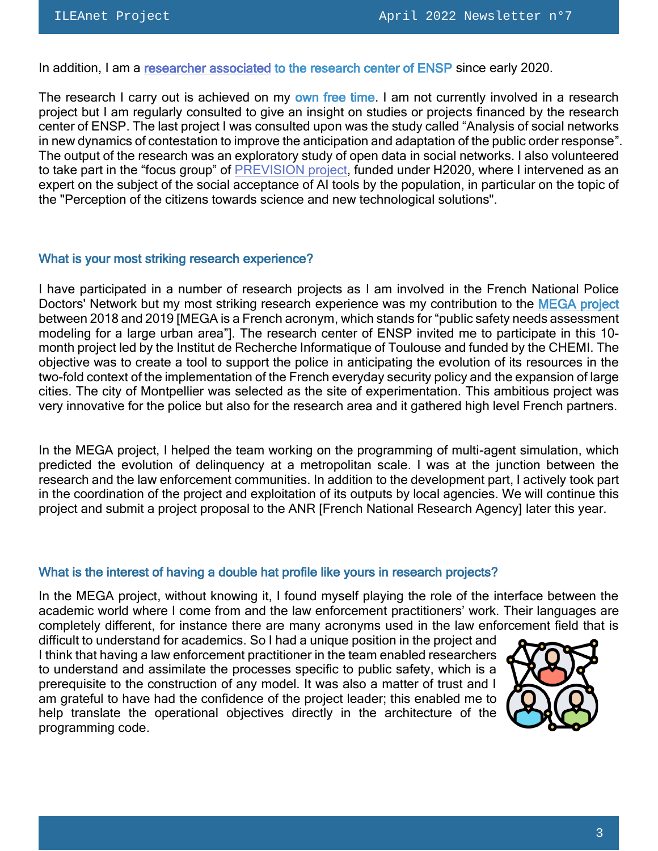In addition, I am a [researcher associated](https://www.ensp.interieur.gouv.fr/Recherche/Le-hub-de-competences/Les-chercheurs-associes) to the research center of ENSP since early 2020.

The research I carry out is achieved on my own free time. I am not currently involved in a research project but I am regularly consulted to give an insight on studies or projects financed by the research center of ENSP. The last project I was consulted upon was the study called "Analysis of social networks in new dynamics of contestation to improve the anticipation and adaptation of the public order response". The output of the research was an exploratory study of open data in social networks. I also volunteered to take part in the "focus group" of **PREVISION** project, funded under H2020, where I intervened as an expert on the subject of the social acceptance of AI tools by the population, in particular on the topic of the "Perception of the citizens towards science and new technological solutions".

#### What is your most striking research experience?

I have participated in a number of research projects as I am involved in the [French National Police](https://www.ensp.interieur.gouv.fr/Recherche/Le-hub-de-competences/Le-reseau-des-docteurs-de-la-Police-nationale) [Doctors' Network](https://www.ensp.interieur.gouv.fr/Recherche/Le-hub-de-competences/Le-reseau-des-docteurs-de-la-Police-nationale) but my most striking research experience was my contribution to the [MEGA project](http://www.interieur.gouv.fr/sites/minint/files/medias/documents/2021-06/MEGA-PPT-FIP2020.pdf) between 2018 and 2019 [MEGA is a French acronym, which stands for "public safety needs assessment modeling for a large urban area"]. The research center of ENSP invited me to participate in this 10 month project led by the Institut de Recherche Informatique of Toulouse and funded by the [CHEMI.](https://www.interieur.gouv.fr/Le-ministere/Secretariat-general/Centre-des-Hautes-Etudes-du-Ministere-de-l-Interieur) The objective was to create a tool to support the police in anticipating the evolution of its resources in the two-fold context of the implementation of the French everyday security policy and the expansion of large cities. The city of Montpellier was selected as the site of experimentation. This ambitious project was very innovative for the police but also for the research area and it gathered high level French partners.

In the MEGA project, I helped the team working on the programming of multi-agent simulation, which predicted the evolution of delinquency at a metropolitan scale. I was at the junction between the research and the law enforcement communities. In addition to the development part, I actively took part in the coordination of the project and exploitation of its outputs by local agencies. We will continue this project and submit a project proposal to the ANR [French National Research Agency] later this year.

### What is the interest of having a double hat profile like yours in research projects?

In the MEGA project, without knowing it, I found myself playing the role of the interface between the academic world where I come from and the law enforcement practitioners' work. Their languages are completely different, for instance there are many acronyms used in the law enforcement field that is

difficult to understand for academics. So I had a unique position in the project and I think that having a law enforcement practitioner in the team enabled researchers to understand and assimilate the processes specific to public safety, which is a prerequisite to the construction of any model. It was also a matter of trust and I am grateful to have had the confidence of the project leader; this enabled me to help translate the operational objectives directly in the architecture of the programming code.

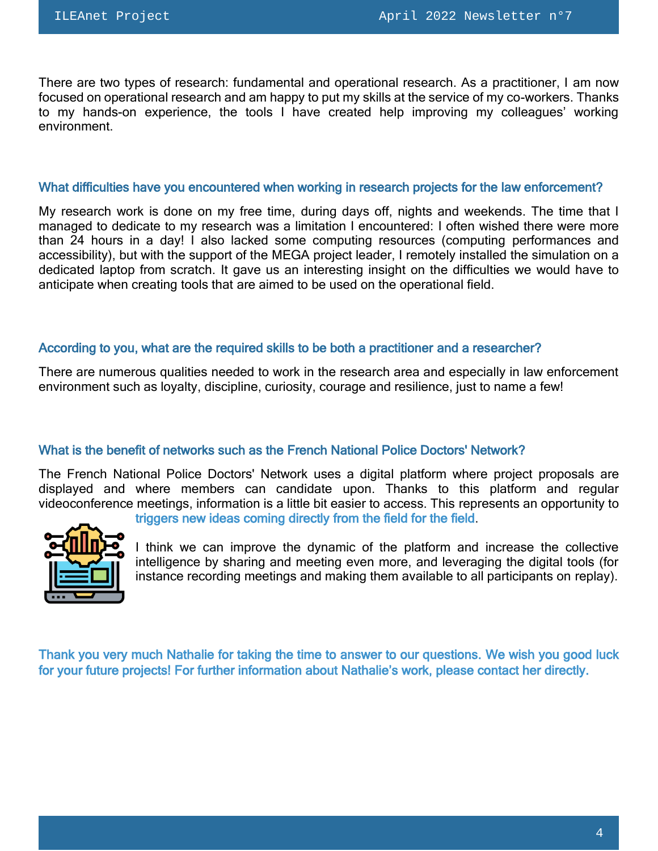There are two types of research: fundamental and operational research. As a practitioner, I am now focused on operational research and am happy to put my skills at the service of my co-workers. Thanks to my hands-on experience, the tools I have created help improving my colleagues' working environment.

#### What difficulties have you encountered when working in research projects for the law enforcement?

My research work is done on my free time, during days off, nights and weekends. The time that I managed to dedicate to my research was a limitation I encountered: I often wished there were more than 24 hours in a day! I also lacked some computing resources (computing performances and accessibility), but with the support of the MEGA project leader, I remotely installed the simulation on a dedicated laptop from scratch. It gave us an interesting insight on the difficulties we would have to anticipate when creating tools that are aimed to be used on the operational field.

### According to you, what are the required skills to be both a practitioner and a researcher?

There are numerous qualities needed to work in the research area and especially in law enforcement environment such as loyalty, discipline, curiosity, courage and resilience, just to name a few!

## What is the benefit of networks such as the French National Police Doctors' Network?

The [French National Police](https://www.ensp.interieur.gouv.fr/Recherche/Le-hub-de-competences/Le-reseau-des-docteurs-de-la-Police-nationale) [Doctors'](https://www.ensp.interieur.gouv.fr/Recherche/Le-hub-de-competences/Le-reseau-des-docteurs-de-la-Police-nationale) Network uses a digital platform where project proposals are displayed and where members can candidate upon. Thanks to this platform and regular videoconference meetings, information is a little bit easier to access. This represents an opportunity to



triggers new ideas coming directly from the field for the field.

I think we can improve the dynamic of the platform and increase the collective intelligence by sharing and meeting even more, and leveraging the digital tools (for instance recording meetings and making them available to all participants on replay).

Thank you very much Nathalie for taking the time to answer to our questions. We wish you good luck for your future projects! For further information about Nathalie's work, please contact her directly.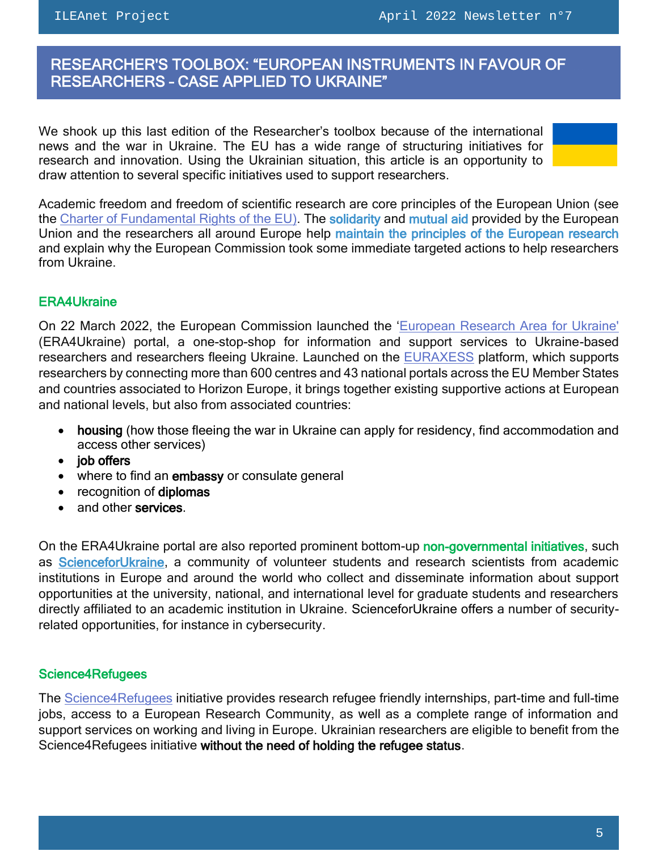$\overline{a}$ 

## <span id="page-4-0"></span> RESEARCHER'S TOOLBOX: "EUROPEAN INSTRUMENTS IN FAVOUR OF RESEARCHERS – CASE APPLIED TO UKRAINE"

We shook up this last edition of the Researcher's toolbox because of the international news and the war in Ukraine. The EU has a wide range of structuring initiatives for research and innovation. Using the Ukrainian situation, this article is an opportunity to draw attention to several specific initiatives used to support researchers.

| Academic freedom and freedom of scientific research are core principles of the European Union (see   |
|------------------------------------------------------------------------------------------------------|
| the Charter of Fundamental Rights of the EU). The solidarity and mutual aid provided by the European |
| Union and the researchers all around Europe help maintain the principles of the European research    |
| and explain why the European Commission took some immediate targeted actions to help researchers     |
| from Ukraine.                                                                                        |

## ERA4Ukraine

On 22 March 2022, the European Commission launched the '[European Research Area for Ukraine'](https://euraxess.ec.europa.eu/ukraine) (ERA4Ukraine) portal, a one-stop-shop for information and support services to Ukraine-based researchers and researchers fleeing Ukraine. Launched on the **EURAXESS** platform, which supports researchers by connecting more than 600 centres and 43 national portals across the EU Member States and countries associated to Horizon Europe, it brings together existing supportive actions at European and national levels, but also from associated countries:

- housing (how those fleeing the war in Ukraine can apply for residency, find accommodation and access other services)
- job offers
- where to find an embassy or consulate general
- recognition of diplomas
- and other services.

On the ERA4U kraine portal are also reported prominent bottom-up non-governmental initiatives, such as [ScienceforUkraine,](https://scienceforukraine.eu/) a community of volunteer students and research scientists from academic institutions in Europe and around the world who collect and disseminate information about support opportunities at the university, national, and international level for graduate students and researchers directly affiliated to an academic institution in Ukraine. [ScienceforUkraine](https://scienceforukraine.eu/) offers a number of securityrelated opportunities, for instance in cybersecurity.

## Science4Refugees

The [Science4Refugees](https://euraxess.ec.europa.eu/jobs/science4refugees) initiative provides research refugee friendly internships, part-time and full-time jobs, access to a European Research Community, as well as a complete range of information and support services on working and living in Europe. Ukrainian researchers are eligible to benefit from the Science4Refugees initiative without the need of holding the refugee status.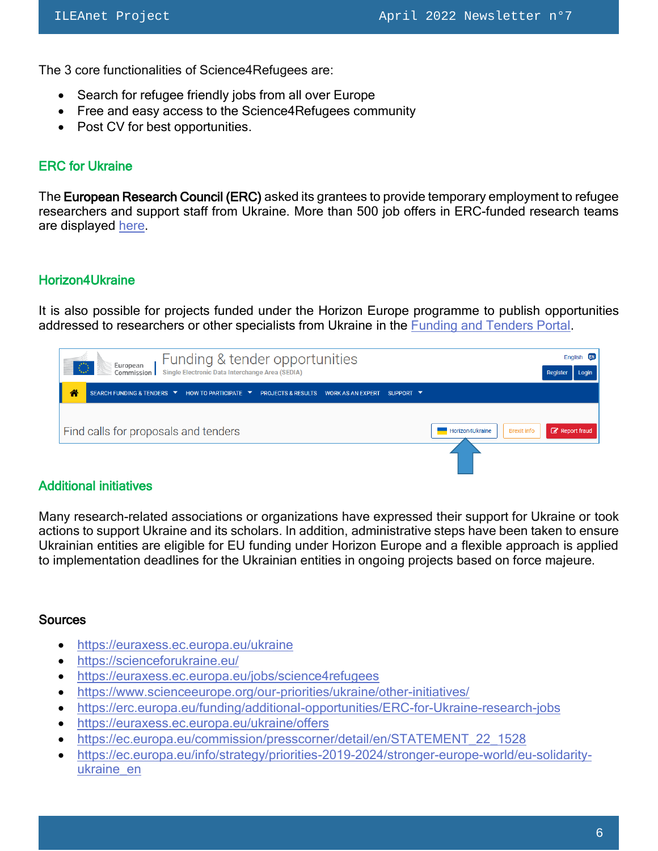The 3 core functionalities of Science4Refugees are:

- Search for refugee friendly jobs from all over Europe
- Free and easy access to the Science4Refugees community
- Post CV for best opportunities.

## ERC for Ukraine

The European Research Council (ERC) asked its grantees to provide temporary employment to refugee researchers and support staff from Ukraine. More than 500 job offers in ERC-funded research teams are displayed [here.](https://euraxess.ec.europa.eu/ukraine/offers)

## Horizon4Ukraine

It is also possible for projects funded under the Horizon Europe programme to publish opportunities addressed to researchers or other specialists from Ukraine in the [Funding and Tenders Portal.](https://ec.europa.eu/info/funding-tenders/opportunities/portal/)



## Additional initiatives

Many research-related associations or organizations have expressed their support for Ukraine or took actions to support Ukraine and its scholars. In addition, administrative steps have been taken to ensure Ukrainian entities are eligible for EU funding under Horizon Europe and a flexible approach is applied to implementation deadlines for the Ukrainian entities in ongoing projects based on force majeure.

### **Sources**

- <https://euraxess.ec.europa.eu/ukraine>
- <https://scienceforukraine.eu/>
- <https://euraxess.ec.europa.eu/jobs/science4refugees>
- <https://www.scienceeurope.org/our-priorities/ukraine/other-initiatives/>
- <https://erc.europa.eu/funding/additional-opportunities/ERC-for-Ukraine-research-jobs>
- <https://euraxess.ec.europa.eu/ukraine/offers>
- [https://ec.europa.eu/commission/presscorner/detail/en/STATEMENT\\_22\\_1528](https://ec.europa.eu/commission/presscorner/detail/en/STATEMENT_22_1528)
- https://ec.europa.eu/info/strategy/priorities-2019-2024/stronger-europe-world/eu-solidarityukraine\_en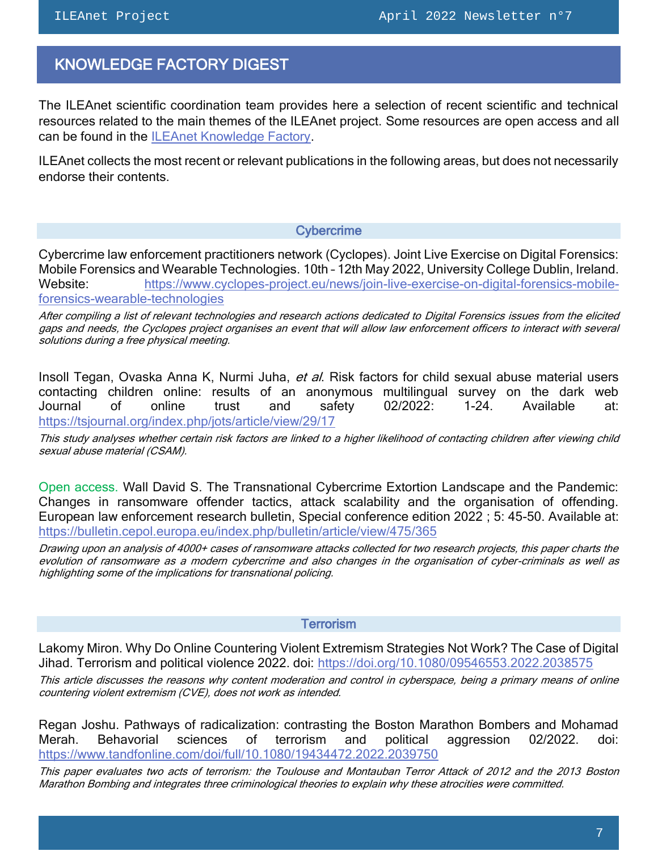## <span id="page-6-0"></span>KNOWLEDGE FACTORY DIGEST

The ILEAnet scientific coordination team provides here a selection of recent scientific and technical resources related to the main themes of the ILEAnet project. Some resources are open access and all can be found in the [ILEAnet Knowledge Factory.](https://ileanet.sym.place/groups/profile/109443/ileanet-knowledge-factory)

ILEAnet collects the most recent or relevant publications in the following areas, but does not necessarily endorse their contents.

#### **Cybercrime**

Cybercrime law enforcement practitioners network (Cyclopes). Joint Live Exercise on Digital Forensics: Mobile Forensics and Wearable Technologies. 10th – 12th May 2022, University College Dublin, Ireland. Website: [https://www.cyclopes-project.eu/news/join-live-exercise-on-digital-forensics-mobile](https://www.cyclopes-project.eu/news/join-live-exercise-on-digital-forensics-mobile-forensics-wearable-technologies)[forensics-wearable-technologies](https://www.cyclopes-project.eu/news/join-live-exercise-on-digital-forensics-mobile-forensics-wearable-technologies)

After compiling a list of relevant technologies and research actions dedicated to Digital Forensics issues from the elicited gaps and needs, the Cyclopes project organises an event that will allow law enforcement officers to interact with several solutions during a free physical meeting.

Insoll Tegan, Ovaska Anna K, Nurmi Juha, et al. Risk factors for child sexual abuse material users contacting children online: results of an anonymous multilingual survey on the dark web Journal of online trust and safety 02/2022: 1-24. Available at: <https://tsjournal.org/index.php/jots/article/view/29/17>

This study analyses whether certain risk factors are linked to a higher likelihood of contacting children after viewing child sexual abuse material (CSAM).

Open access. Wall David S. The Transnational Cybercrime Extortion Landscape and the Pandemic: Changes in ransomware offender tactics, attack scalability and the organisation of offending. European law enforcement research bulletin, Special conference edition 2022 ; 5: 45-50. Available at: <https://bulletin.cepol.europa.eu/index.php/bulletin/article/view/475/365>

Drawing upon an analysis of 4000+ cases of ransomware attacks collected for two research projects, this paper charts the evolution of ransomware as a modern cybercrime and also changes in the organisation of cyber-criminals as well as highlighting some of the implications for transnational policing.

#### **Terrorism**

Lakomy Miron. Why Do Online Countering Violent Extremism Strategies Not Work? The Case of Digital Jihad. Terrorism and political violence 2022. doi:<https://doi.org/10.1080/09546553.2022.2038575>

This article discusses the reasons why content moderation and control in cyberspace, being a primary means of online countering violent extremism (CVE), does not work as intended.

Regan Joshu. Pathways of radicalization: contrasting the Boston Marathon Bombers and Mohamad Merah. Behavorial sciences of terrorism and political aggression 02/2022. doi: <https://www.tandfonline.com/doi/full/10.1080/19434472.2022.2039750>

This paper evaluates two acts of terrorism: the Toulouse and Montauban Terror Attack of 2012 and the 2013 Boston Marathon Bombing and integrates three criminological theories to explain why these atrocities were committed.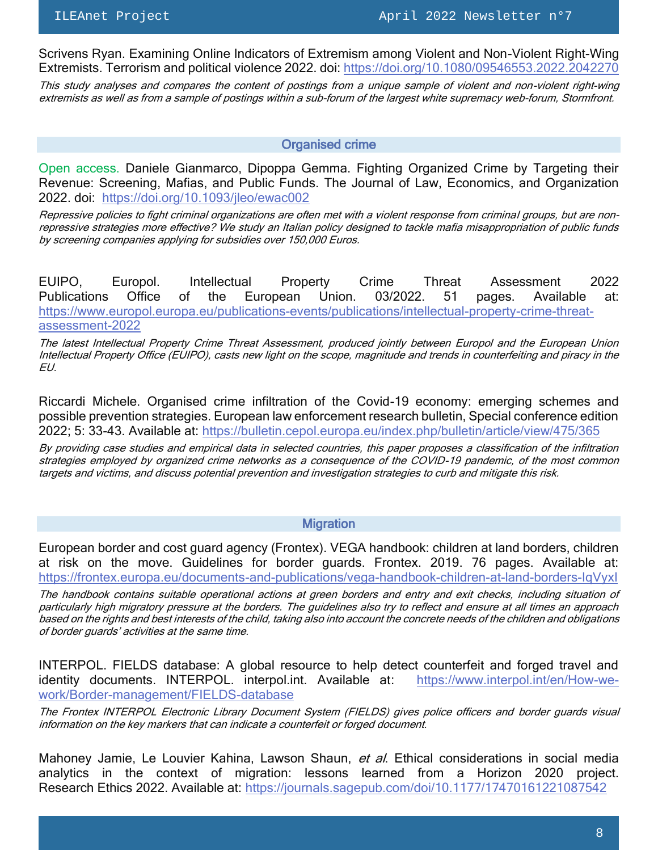Scrivens Ryan. Examining Online Indicators of Extremism among Violent and Non-Violent Right-Wing Extremists. Terrorism and political violence 2022. doi[: https://doi.org/10.1080/09546553.2022.2042270](https://doi.org/10.1080/09546553.2022.2042270)

This study analyses and compares the content of postings from a unique sample of violent and non-violent right-wing extremists as well as from a sample of postings within a sub-forum of the largest white supremacy web-forum, Stormfront.

#### Organised crime

Open access. Daniele Gianmarco, Dipoppa Gemma. Fighting Organized Crime by Targeting their Revenue: Screening, Mafias, and Public Funds. The Journal of Law, Economics, and Organization 2022. doi: <https://doi.org/10.1093/jleo/ewac002>

Repressive policies to fight criminal organizations are often met with a violent response from criminal groups, but are nonrepressive strategies more effective? We study an Italian policy designed to tackle mafia misappropriation of public funds by screening companies applying for subsidies over 150,000 Euros.

EUIPO, Europol. Intellectual Property Crime Threat Assessment 2022 Publications Office of the European Union. 03/2022. 51 pages. Available at: [https://www.europol.europa.eu/publications-events/publications/intellectual-property-crime-threat](https://www.europol.europa.eu/publications-events/publications/intellectual-property-crime-threat-assessment-2022)[assessment-2022](https://www.europol.europa.eu/publications-events/publications/intellectual-property-crime-threat-assessment-2022)

The latest Intellectual Property Crime Threat Assessment, produced jointly between Europol and the European Union Intellectual Property Office (EUIPO), casts new light on the scope, magnitude and trends in counterfeiting and piracy in the EU.

Riccardi Michele. Organised crime infiltration of the Covid-19 economy: emerging schemes and possible prevention strategies. European law enforcement research bulletin, Special conference edition 2022; 5: 33-43. Available at:<https://bulletin.cepol.europa.eu/index.php/bulletin/article/view/475/365>

By providing case studies and empirical data in selected countries, this paper proposes a classification of the infiltration strategies employed by organized crime networks as a consequence of the COVID-19 pandemic, of the most common targets and victims, and discuss potential prevention and investigation strategies to curb and mitigate this risk.

#### **Migration**

European border and cost guard agency (Frontex). VEGA handbook: children at land borders, children at risk on the move. Guidelines for border guards. Frontex. 2019. 76 pages. Available at: <https://frontex.europa.eu/documents-and-publications/vega-handbook-children-at-land-borders-IqVyxI>

The handbook contains suitable operational actions at green borders and entry and exit checks, including situation of particularly high migratory pressure at the borders. The guidelines also try to reflect and ensure at all times an approach based on the rights and best interests of the child, taking also into account the concrete needs of the children and obligations of border guards' activities at the same time.

INTERPOL. FIELDS database: A global resource to help detect counterfeit and forged travel and identity documents. INTERPOL. interpol.int. Available at: [https://www.interpol.int/en/How-we](https://www.interpol.int/en/How-we-work/Border-management/FIELDS-database)[work/Border-management/FIELDS-database](https://www.interpol.int/en/How-we-work/Border-management/FIELDS-database)

The Frontex INTERPOL Electronic Library Document System (FIELDS) gives police officers and border guards visual information on the key markers that can indicate a counterfeit or forged document.

Mahoney Jamie, Le Louvier Kahina, Lawson Shaun, et al. Ethical considerations in social media analytics in the context of migration: lessons learned from a Horizon 2020 project. Research Ethics 2022. Available at:<https://journals.sagepub.com/doi/10.1177/17470161221087542>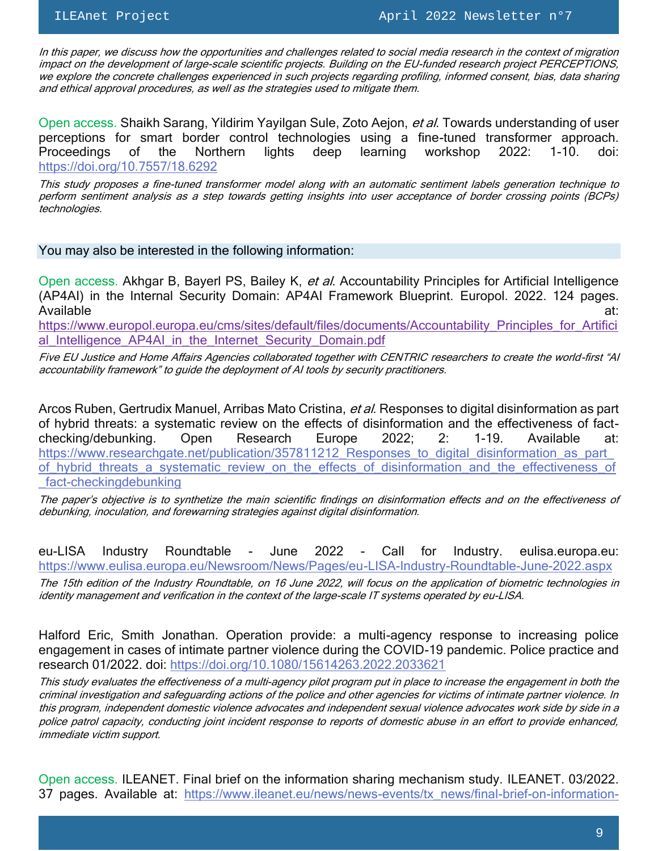In this paper, we discuss how the opportunities and challenges related to social media research in the context of migration impact on the development of large-scale scientific projects. Building on the EU-funded research project PERCEPTIONS, we explore the concrete challenges experienced in such projects regarding profiling, informed consent, bias, data sharing and ethical approval procedures, as well as the strategies used to mitigate them.

Open access. Shaikh Sarang, Yildirim Yayilgan Sule, Zoto Aejon, et al. Towards understanding of user perceptions for smart border control technologies using a fine-tuned transformer approach. Proceedings of the Northern lights deep learning workshop 2022: 1-10. doi: <https://doi.org/10.7557/18.6292>

This study proposes a fine-tuned transformer model along with an automatic sentiment labels generation technique to perform sentiment analysis as a step towards getting insights into user acceptance of border crossing points (BCPs) technologies.

You may also be interested in the following information:

Open access. Akhgar B, Bayerl PS, Bailey K, et al. Accountability Principles for Artificial Intelligence (AP4AI) in the Internal Security Domain: AP4AI Framework Blueprint. Europol. 2022. 124 pages. Available at: the contract of the contract of the contract of the contract of the contract of the contract of the contract of the contract of the contract of the contract of the contract of the contract of the contract of

[https://www.europol.europa.eu/cms/sites/default/files/documents/Accountability\\_Principles\\_for\\_Artifici](https://www.europol.europa.eu/cms/sites/default/files/documents/Accountability_Principles_for_Artificial_Intelligence_AP4AI_in_the_Internet_Security_Domain.pdf) al Intelligence AP4AI in the Internet Security Domain.pdf

Five EU Justice and Home Affairs Agencies collaborated together with CENTRIC researchers to create the world-first "AI accountability framework" to guide the deployment of AI tools by security practitioners.

Arcos Ruben, Gertrudix Manuel, Arribas Mato Cristina, et al. Responses to digital disinformation as part of hybrid threats: a systematic review on the effects of disinformation and the effectiveness of factchecking/debunking. Open Research Europe 2022; 2: 1-19. Available at: https://www.researchgate.net/publication/357811212 Responses to digital disinformation as part of hybrid threats a systematic review on the effects of disinformation and the effectiveness of [\\_fact-checkingdebunking](https://www.researchgate.net/publication/357811212_Responses_to_digital_disinformation_as_part_of_hybrid_threats_a_systematic_review_on_the_effects_of_disinformation_and_the_effectiveness_of_fact-checkingdebunking)

The paper's objective is to synthetize the main scientific findings on disinformation effects and on the effectiveness of debunking, inoculation, and forewarning strategies against digital disinformation.

eu-LISA Industry Roundtable - June 2022 - Call for Industry. eulisa.europa.eu: <https://www.eulisa.europa.eu/Newsroom/News/Pages/eu-LISA-Industry-Roundtable-June-2022.aspx>

The 15th edition of the Industry Roundtable, on 16 June 2022, will focus on the application of biometric technologies in identity management and verification in the context of the large-scale IT systems operated by eu-LISA.

Halford Eric, Smith Jonathan. Operation provide: a multi-agency response to increasing police engagement in cases of intimate partner violence during the COVID-19 pandemic. Police practice and research 01/2022. doi:<https://doi.org/10.1080/15614263.2022.2033621>

This study evaluates the effectiveness of a multi-agency pilot program put in place to increase the engagement in both the criminal investigation and safeguarding actions of the police and other agencies for victims of intimate partner violence. In this program, independent domestic violence advocates and independent sexual violence advocates work side by side in a police patrol capacity, conducting joint incident response to reports of domestic abuse in an effort to provide enhanced, immediate victim support.

Open access. ILEANET. Final brief on the information sharing mechanism study. ILEANET. 03/2022. 37 pages. Available at: [https://www.ileanet.eu/news/news-events/tx\\_news/final-brief-on-information-](https://www.ileanet.eu/news/news-events/tx_news/final-brief-on-information-sharing-mechanisms-study/?tx_news_pi1%5Bcontroller%5D=News&tx_news_pi1%5Baction%5D=detail&cHash=02b1b74fce491ae600a34f30e7707ce4)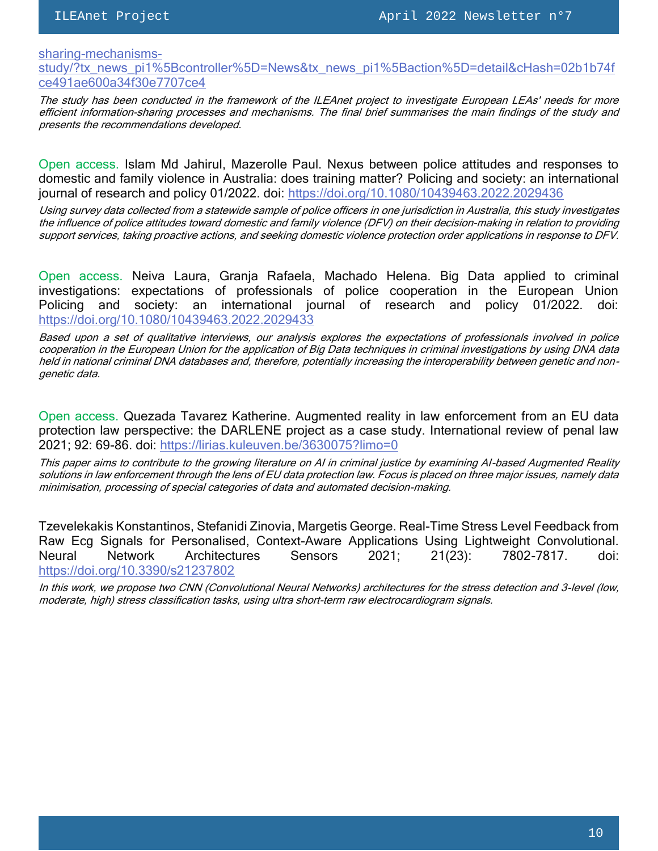[sharing-mechanisms-](https://www.ileanet.eu/news/news-events/tx_news/final-brief-on-information-sharing-mechanisms-study/?tx_news_pi1%5Bcontroller%5D=News&tx_news_pi1%5Baction%5D=detail&cHash=02b1b74fce491ae600a34f30e7707ce4)

[study/?tx\\_news\\_pi1%5Bcontroller%5D=News&tx\\_news\\_pi1%5Baction%5D=detail&cHash=02b1b74f](https://www.ileanet.eu/news/news-events/tx_news/final-brief-on-information-sharing-mechanisms-study/?tx_news_pi1%5Bcontroller%5D=News&tx_news_pi1%5Baction%5D=detail&cHash=02b1b74fce491ae600a34f30e7707ce4) [ce491ae600a34f30e7707ce4](https://www.ileanet.eu/news/news-events/tx_news/final-brief-on-information-sharing-mechanisms-study/?tx_news_pi1%5Bcontroller%5D=News&tx_news_pi1%5Baction%5D=detail&cHash=02b1b74fce491ae600a34f30e7707ce4)

The study has been conducted in the framework of the ILEAnet project to investigate European LEAs' needs for more efficient information-sharing processes and mechanisms. The [final brief](https://www.ileanet.eu/fileadmin/websites/ileanet/documents/Communication_materials/ILEAnet_ENSP_Information_sharing_Final_Brief_R1.pdf) summarises the main findings of the study and presents the recommendations developed.

Open access. Islam Md Jahirul, Mazerolle Paul. Nexus between police attitudes and responses to domestic and family violence in Australia: does training matter? Policing and society: an international journal of research and policy 01/2022. doi:<https://doi.org/10.1080/10439463.2022.2029436>

Using survey data collected from a statewide sample of police officers in one jurisdiction in Australia, this study investigates the influence of police attitudes toward domestic and family violence (DFV) on their decision-making in relation to providing support services, taking proactive actions, and seeking domestic violence protection order applications in response to DFV.

Open access. Neiva Laura, Granja Rafaela, Machado Helena. Big Data applied to criminal investigations: expectations of professionals of police cooperation in the European Union Policing and society: an international journal of research and policy 01/2022. doi: <https://doi.org/10.1080/10439463.2022.2029433>

Based upon a set of qualitative interviews, our analysis explores the expectations of professionals involved in police cooperation in the European Union for the application of Big Data techniques in criminal investigations by using DNA data held in national criminal DNA databases and, therefore, potentially increasing the interoperability between genetic and nongenetic data.

Open access. Quezada Tavarez Katherine. Augmented reality in law enforcement from an EU data protection law perspective: the DARLENE project as a case study. International review of penal law 2021; 92: 69-86. doi:<https://lirias.kuleuven.be/3630075?limo=0>

This paper aims to contribute to the growing literature on AI in criminal justice by examining AI-based Augmented Reality solutions in law enforcement through the lens of EU data protection law. Focus is placed on three major issues, namely data minimisation, processing of special categories of data and automated decision-making.

Tzevelekakis Konstantinos, Stefanidi Zinovia, Margetis George. Real-Time Stress Level Feedback from Raw Ecg Signals for Personalised, Context-Aware Applications Using Lightweight Convolutional. Neural Network Architectures Sensors 2021; 21(23): 7802-7817. doi: <https://doi.org/10.3390/s21237802>

In this work, we propose two CNN (Convolutional Neural Networks) architectures for the stress detection and 3-level (low, moderate, high) stress classification tasks, using ultra short-term raw electrocardiogram signals.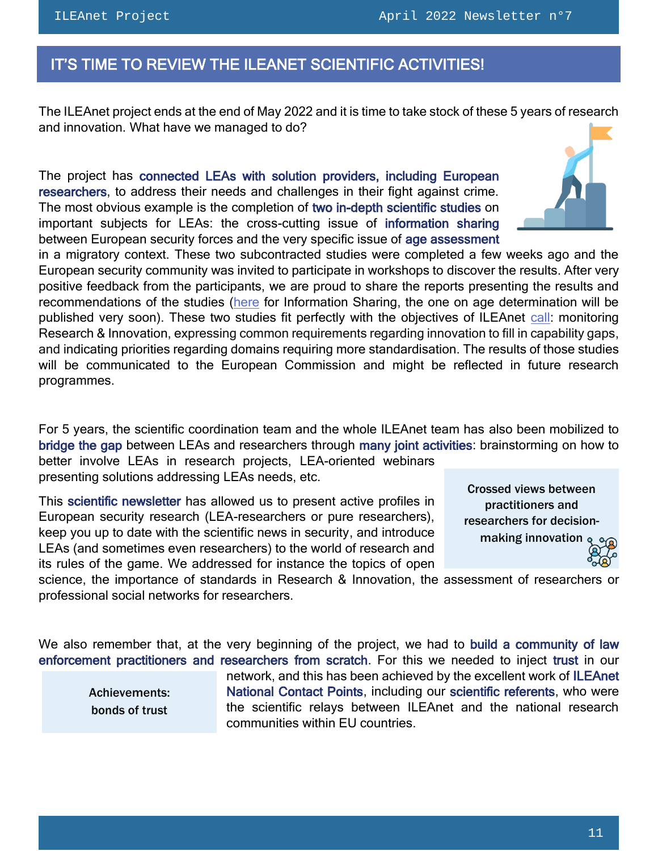# <span id="page-10-0"></span>IT'S TIME TO REVIEW THE ILEANET SCIENTIFIC ACTIVITIES!

The ILEAnet project ends at the end of May 2022 and it is time to take stock of these 5 years of research and innovation. What have we managed to do?

The project has connected LEAs with solution providers, including European researchers, to address their needs and challenges in their fight against crime. The most obvious example is the completion of two in-depth scientific studies on important subjects for LEAs: the cross-cutting issue of information sharing between European security forces and the very specific issue of age assessment

in a migratory context. These two subcontracted studies were completed a few weeks ago and the European security community was invited to participate in workshops to discover the results. After very positive feedback from the participants, we are proud to share the reports presenting the results and recommendations of the studies [\(here](https://www.ileanet.eu/news/news-events/tx_news/final-brief-on-information-sharing-mechanisms-study/?tx_news_pi1%5Bcontroller%5D=News&tx_news_pi1%5Baction%5D=detail&cHash=02b1b74fce491ae600a34f30e7707ce4) for Information Sharing, the one on age determination will be published very soon). These two studies fit perfectly with the objectives of ILEAnet [call:](https://cordis.europa.eu/programme/id/H2020_SEC-21-GM-2016-2017) monitoring Research & Innovation, expressing common requirements regarding innovation to fill in capability gaps, and indicating priorities regarding domains requiring more standardisation. The results of those studies will be communicated to the European Commission and might be reflected in future research programmes.

For 5 years, the scientific coordination team and the whole ILEAnet team has also been mobilized to bridge the gap between LEAs and researchers through many joint activities: brainstorming on how to

better involve LEAs in research projects, LEA-oriented webinars presenting solutions addressing LEAs needs, etc.

This scientific newsletter has allowed us to present active profiles in European security research (LEA-researchers or pure researchers), keep you up to date with the scientific news in security, and introduce LEAs (and sometimes even researchers) to the world of research and its rules of the game. We addressed for instance the topics of open



science, the importance of standards in Research & Innovation, the assessment of researchers or professional social networks for researchers.

We also remember that, at the very beginning of the project, we had to build a community of law enforcement practitioners and researchers from scratch. For this we needed to inject trust in our

Achievements: bonds of trust

network, and this has been achieved by the excellent work of ILEAnet National Contact Points, including our scientific referents, who were the scientific relays between ILEAnet and the national research communities within EU countries.